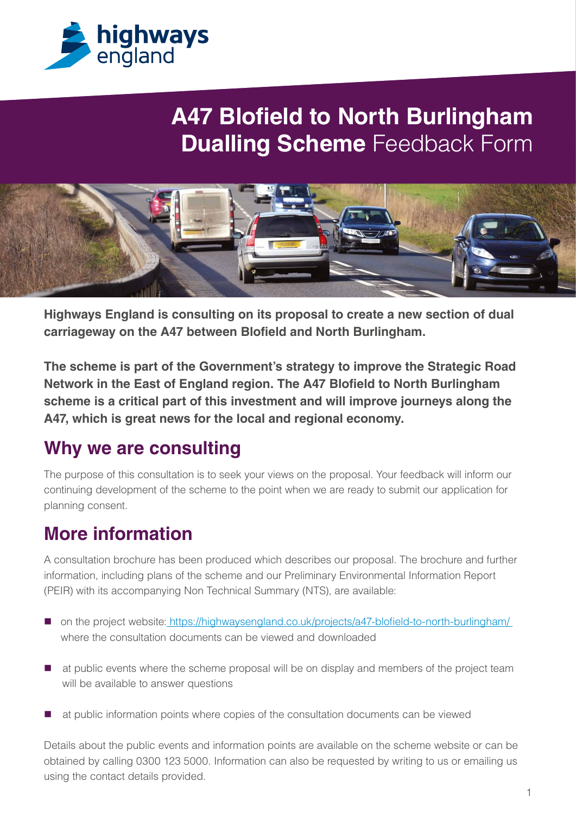

## **A47 Blofield to North Burlingham Dualling Scheme Feedback Form**



**Highways England is consulting on its proposal to create a new section of dual carriageway on the A47 between Blofield and North Burlingham.**

**The scheme is part of the Government's strategy to improve the Strategic Road Network in the East of England region. The A47 Blofield to North Burlingham scheme is a critical part of this investment and will improve journeys along the A47, which is great news for the local and regional economy.**

#### **Why we are consulting**

The purpose of this consultation is to seek your views on the proposal. Your feedback will inform our continuing development of the scheme to the point when we are ready to submit our application for planning consent.

#### **More information**

A consultation brochure has been produced which describes our proposal. The brochure and further information, including plans of the scheme and our Preliminary Environmental Information Report (PEIR) with its accompanying Non Technical Summary (NTS), are available:

- on the project website: https://highwaysengland.co.uk/projects/a47-blofield-to-north-burlingham/ where the consultation documents can be viewed and downloaded
- $\blacksquare$  at public events where the scheme proposal will be on display and members of the project team will be available to answer questions
- at public information points where copies of the consultation documents can be viewed

Details about the public events and information points are available on the scheme website or can be obtained by calling 0300 123 5000. Information can also be requested by writing to us or emailing us using the contact details provided.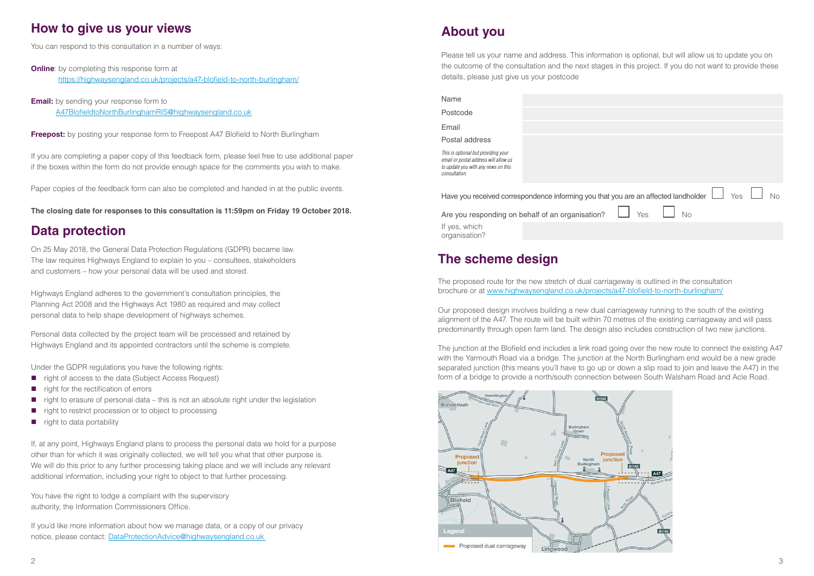

| ou are an affected landholder $\Box$ Yes $\Box$ No |  |  |
|----------------------------------------------------|--|--|
| $\Box$ Yes $\Box$ No                               |  |  |
|                                                    |  |  |
|                                                    |  |  |

#### **About you**

Please tell us your name and address. This information is optional, but will allow us to update you on the outcome of the consultation and the next stages in this project. If you do not want to provide these details, please just give us your postcode

.

| Name                                                                                                                |  |
|---------------------------------------------------------------------------------------------------------------------|--|
| Postcode                                                                                                            |  |
| Email                                                                                                               |  |
| Postal address                                                                                                      |  |
| This is optional but providing your<br>email or postal address will allow us<br>to update you with any news on this |  |

Have you received correspondence informing you that ye

Are you responding on behalf of an organisation?

**Online**: by completing this response form at https://highwaysengland.co.uk/projects/a47-blofield-to-north-burlingham/

*consultation.*

**Email:** by sending your response form to A47BlofieldtoNorthBurlinghamRIS@highwaysengland.co.uk

**Freepost:** by posting your response form to Freepost A47 Blofield to North Burlingham

If yes, which organisation?

#### **How to give us your views**

You can respond to this consultation in a number of ways:

If you are completing a paper copy of this feedback form, please feel free to use additional paper if the boxes within the form do not provide enough space for the comments you wish to make.

Paper copies of the feedback form can also be completed and handed in at the public events.

**The closing date for responses to this consultation is 11:59pm on Friday 19 October 2018.**

#### **Data protection**

On 25 May 2018, the General Data Protection Regulations (GDPR) became law. The law requires Highways England to explain to you – consultees, stakeholders and customers – how your personal data will be used and stored.

Highways England adheres to the government's consultation principles, the Planning Act 2008 and the Highways Act 1980 as required and may collect personal data to help shape development of highways schemes.

Personal data collected by the project team will be processed and retained by Highways England and its appointed contractors until the scheme is complete.

Under the GDPR regulations you have the following rights:

- $\blacksquare$  right of access to the data (Subject Access Request)
- $\blacksquare$  right for the rectification of errors
- $\Box$  right to erasure of personal data this is not an absolute right under the legislation
- right to restrict procession or to object to processing
- $\blacksquare$  right to data portability

If, at any point, Highways England plans to process the personal data we hold for a purpose other than for which it was originally collected, we will tell you what that other purpose is. We will do this prior to any further processing taking place and we will include any relevant additional information, including your right to object to that further processing.

You have the right to lodge a complaint with the supervisory authority, the Information Commissioners Office.

If you'd like more information about how we manage data, or a copy of our privacy notice, please contact: DataProtectionAdvice@highwaysengland.co.uk

#### **The scheme design**

The proposed route for the new stretch of dual carriageway is outlined in the consultation brochure or at www.highwaysengland.co.uk/projects/a47-blofield-to-north-burlingham/

Our proposed design involves building a new dual carriageway running to the south of the existing alignment of the A47. The route will be built within 70 metres of the existing carriageway and will pass predominantly through open farm land. The design also includes construction of two new junctions.

The junction at the Blofield end includes a link road going over the new route to connect the existing A47 with the Yarmouth Road via a bridge. The junction at the North Burlingham end would be a new grade separated junction (this means you'll have to go up or down a slip road to join and leave the A47) in the form of a bridge to provide a north/south connection between South Walsham Road and Acle Road.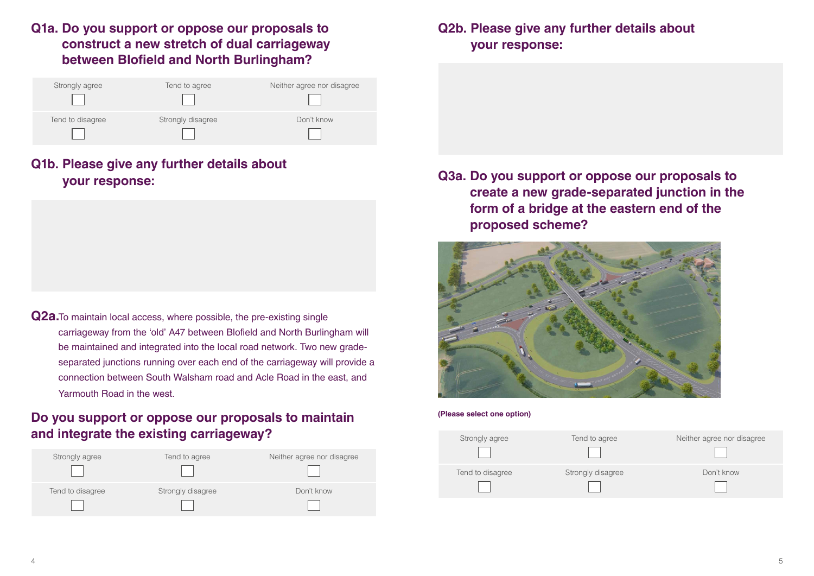

#### **Q1a. Do you support or oppose our proposals to construct a new stretch of dual carriageway between Blofield and North Burlingham?**

| Strongly agree   | Tend to agree     | Neither agree nor disagree |
|------------------|-------------------|----------------------------|
|                  |                   |                            |
| Tend to disagree | Strongly disagree | Don't know                 |
|                  |                   |                            |

### **Q1b. Please give any further details about your response:**

**Q2a.**To maintain local access, where possible, the pre-existing single carriageway from the 'old' A47 between Blofield and North Burlingham will be maintained and integrated into the local road network. Two new gradeseparated junctions running over each end of the carriageway will provide a connection between South Walsham road and Acle Road in the east, and Yarmouth Road in the west.

#### **Do you support or oppose our proposals to maintain and integrate the existing carriageway?**

| Strongly agree   | Tend to agree     | Neither agree nor disagree |
|------------------|-------------------|----------------------------|
| Tend to disagree | Strongly disagree | Don't know                 |

### **Q2b. Please give any further details about your response:**

**Q3a. Do you support or oppose our proposals to create a new grade-separated junction in the form of a bridge at the eastern end of the proposed scheme?**



#### **(Please select one option)**

| Strongly agree   | Tend to agree    |
|------------------|------------------|
| Tend to disagree | Strongly disagre |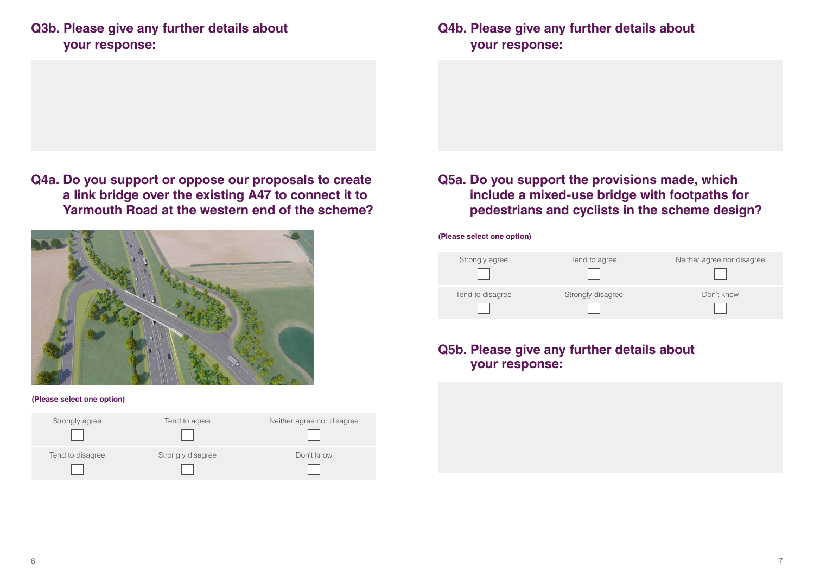### **Q3b. Please give any further details about your response:**

**Q4a. Do you support or oppose our proposals to create a link bridge over the existing A47 to connect it to Yarmouth Road at the western end of the scheme?**



#### **(Please select one option)**

| Strongly agree   | Tend to agree     | Neither agree nor disagree |
|------------------|-------------------|----------------------------|
| Tend to disagree | Strongly disagree | Don't know                 |

### **Q4b. Please give any further details about your response:**

#### **Q5a. Do you support the provisions made, which include a mixed-use bridge with footpaths for pedestrians and cyclists in the scheme design?**

**(Please select one option)**

| Strongly agree   | Tend to agree     | Neither agree nor disagree |
|------------------|-------------------|----------------------------|
| Tend to disagree | Strongly disagree | Don't know                 |

#### **Q5b. Please give any further details about your response:**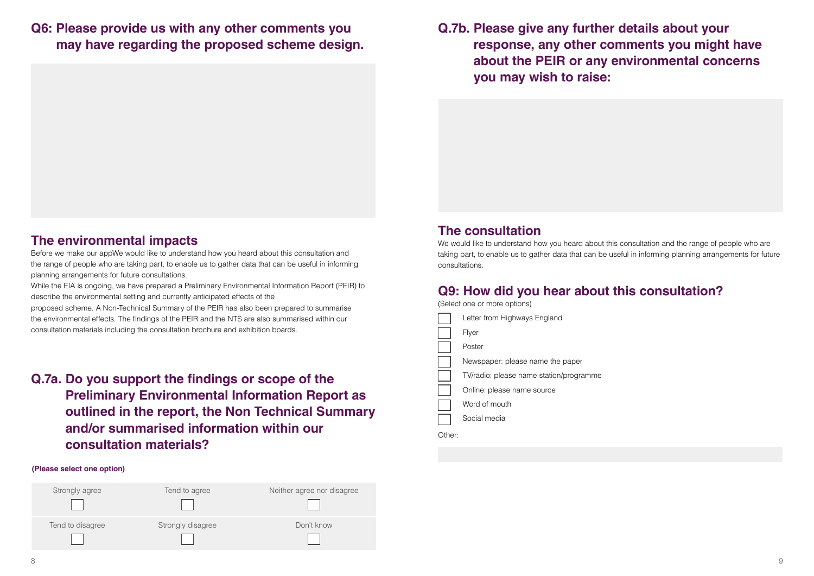#### **Q6: Please provide us with any other comments you may have regarding the proposed scheme design.**

#### **The environmental impacts**

Before we make our appWe would like to understand how you heard about this consultation and the range of people who are taking part, to enable us to gather data that can be useful in informing planning arrangements for future consultations.

While the EIA is ongoing, we have prepared a Preliminary Environmental Information Report (PEIR) to describe the environmental setting and currently anticipated effects of the

proposed scheme. A Non-Technical Summary of the PEIR has also been prepared to summarise the environmental effects. The findings of the PEIR and the NTS are also summarised within our consultation materials including the consultation brochure and exhibition boards.

We would like to understand how you heard about this consultation and the range of people who are taking part, to enable us to gather data that can be useful in informing planning arrangements for future consultations.

**Q.7a. Do you support the findings or scope of the Preliminary Environmental Information Report as outlined in the report, the Non Technical Summary and/or summarised information within our consultation materials?**

#### **(Please select one option)**

| Strongly agree   | Tend to agree     | Neither agree nor disagree |
|------------------|-------------------|----------------------------|
|                  |                   |                            |
| Tend to disagree | Strongly disagree | Don't know                 |

**Q.7b. Please give any further details about your you may wish to raise:** 

# **response, any other comments you might have about the PEIR or any environmental concerns**

#### **The consultation**

### **Q9: How did you hear about this consultation?**

(Select one or more options)